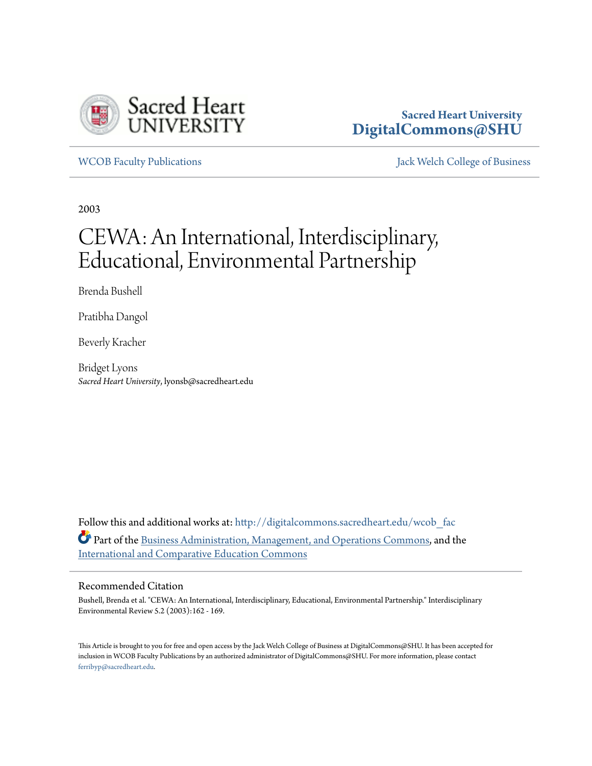

# **Sacred Heart University [DigitalCommons@SHU](http://digitalcommons.sacredheart.edu?utm_source=digitalcommons.sacredheart.edu%2Fwcob_fac%2F303&utm_medium=PDF&utm_campaign=PDFCoverPages)**

[WCOB Faculty Publications](http://digitalcommons.sacredheart.edu/wcob_fac?utm_source=digitalcommons.sacredheart.edu%2Fwcob_fac%2F303&utm_medium=PDF&utm_campaign=PDFCoverPages) [Jack Welch College of Business](http://digitalcommons.sacredheart.edu/wcob?utm_source=digitalcommons.sacredheart.edu%2Fwcob_fac%2F303&utm_medium=PDF&utm_campaign=PDFCoverPages)

2003

# CEWA: An International, Interdisciplinary, Educational, Environmental Partnership

Brenda Bushell

Pratibha Dangol

Beverly Kracher

Bridget Lyons *Sacred Heart University*, lyonsb@sacredheart.edu

Follow this and additional works at: [http://digitalcommons.sacredheart.edu/wcob\\_fac](http://digitalcommons.sacredheart.edu/wcob_fac?utm_source=digitalcommons.sacredheart.edu%2Fwcob_fac%2F303&utm_medium=PDF&utm_campaign=PDFCoverPages) Part of the [Business Administration, Management, and Operations Commons](http://network.bepress.com/hgg/discipline/623?utm_source=digitalcommons.sacredheart.edu%2Fwcob_fac%2F303&utm_medium=PDF&utm_campaign=PDFCoverPages), and the [International and Comparative Education Commons](http://network.bepress.com/hgg/discipline/797?utm_source=digitalcommons.sacredheart.edu%2Fwcob_fac%2F303&utm_medium=PDF&utm_campaign=PDFCoverPages)

# Recommended Citation

Bushell, Brenda et al. "CEWA: An International, Interdisciplinary, Educational, Environmental Partnership." Interdisciplinary Environmental Review 5.2 (2003):162 - 169.

This Article is brought to you for free and open access by the Jack Welch College of Business at DigitalCommons@SHU. It has been accepted for inclusion in WCOB Faculty Publications by an authorized administrator of DigitalCommons@SHU. For more information, please contact [ferribyp@sacredheart.edu](mailto:ferribyp@sacredheart.edu).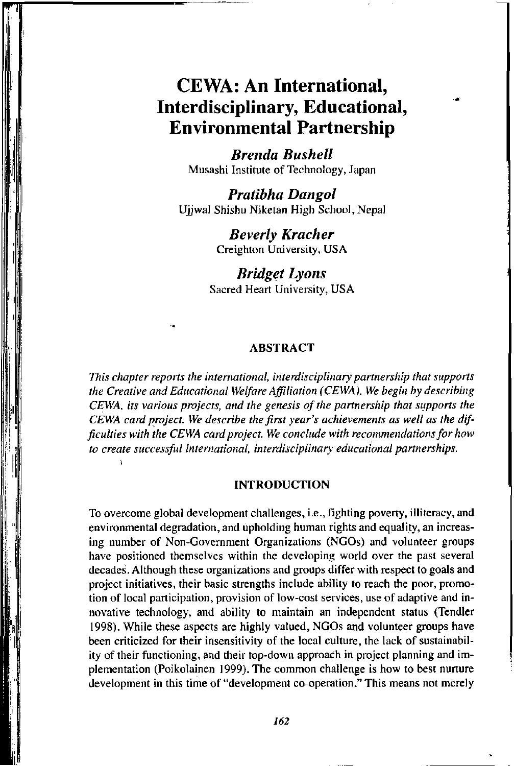# **CEWA : A n International , Interdisciplinary , Educational ,**  *Environmental Partnership*

*Brenda Bushell*  Musashi Institute of Technology, Japan

*Pratibha Dangol*  Ujjwal Shishu Niketan High School, Nepal

> *Beverly Kracher*  Creighton University, USA

*Bridget Lyons*  Sacred Heart University, USA

# ABSTRACT

*This chapter reports the international, interdisciplinary partnership that supports the Creative and Educational Welfare Affiliation (CEWA). We begin by describing CEWA, its various projects, and the genesis of the partnership that supports the CEWA card project. We describe the first year's achievements as well as the difficulties with the CEWA card project. We conclude with recommendations for how to create successful international, interdisciplinary educational partnerships.* 

# INTRODUCTION

To overcome global development challenges, i.e., fighting poverty, illiteracy, and environmental degradation, and upholding human rights and equality, an increasing number of Non-Government Organizations (NGOs) and volunteer groups have positioned themselves within the developing world over the past several decades. Although these organizations and groups differ with respect to goals and project initiatives, their basic strengths include ability to reach the poor, promotion of local participation, provision of low-cost services, use of adaptive and innovative technology, and ability to maintain an independent status (Tendler 1998). While these aspects are highly valued, NGOs and volunteer groups have been criticized for their insensitivity of the local culture, the lack of sustainability of their functioning, and their top-down approach in project planning and implementation (Poikolainen 1999). The common challenge is how to best nurture development in this time of "development co-operation." This means not merely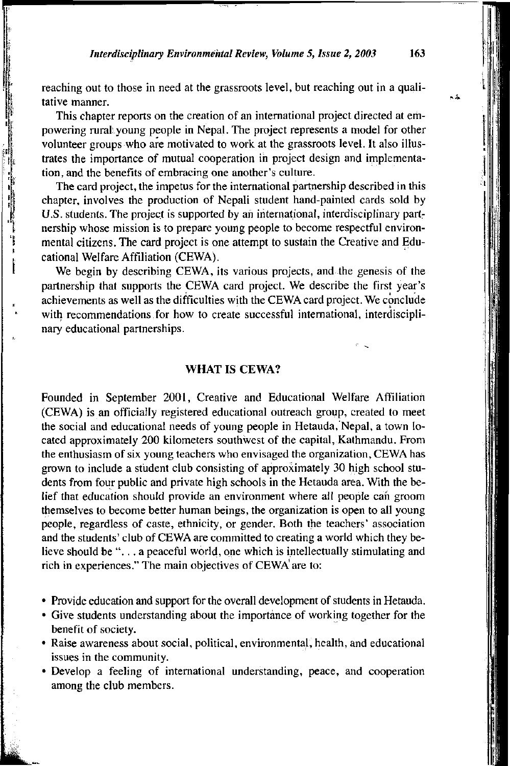reaching out to those in need at the grassroots level, but reaching out in a qualitative manner.

This chapter reports on the creation of an international project directed at empowering rural young people in Nepal. The project represents a model for other volunteer groups who are motivated to work at the grassroots level. It also illustrates the importance of mutual cooperation in project design and implementation, and the benefits of embracing one another's culture.

The card project, the impetus for the international partnership described in this chapter, involves the production of Nepali student hand-painted cards sold by U.S. students. The project is supported by ah international, interdisciplinary partnership whose mission is to prepare young people to become respectful environmental citizens. The card project is one attempt to sustain the Creative and Educational Welfare Affiliation (CEWA).

We begin by describing CEWA, its various projects, and the genesis of the partnership that supports the CEWA card project. We describe the first year's achievements as well as the difficulties with the CEWA card project. We conclude with recommendations for how to create successful international, interdisciplinary educational partnerships.

# **WHAT IS** CEWA?

Founded in September 2001, Creative and Educational Welfare Affiliation (CEWA) is an officially registered educational outreach group, created to meet the social and educational needs of young people in Hetauda, Nepal, a town located approximately 200 kilometers southwest of the capital, Kathmandu. From the enthusiasm of six young teachers who envisaged the organization, CEWA has grown to include a student club consisting of approximately 30 high school students from four public and private high schools in the Hetauda area. With the belief that education should provide an environment where all people can groom themselves to become better human beings, the organization is open to all young people, regardless of caste, ethnicity, or gender. Both the teachers' association and the students' club of CEWA are committed to creating a world which they believe should be ".. . a peaceful world, one which is intellectually stimulating and rich in experiences." The main objectives of CEWA are to:

- Provide education and support for the overall development of students in Hetauda.
- Give students understanding about the importance of working together for the benefit of society.
- Raise awareness about social, political, environmental, health, and educational issues in the community.
- Develop a feeling of international understanding, peace, and cooperation among the club members.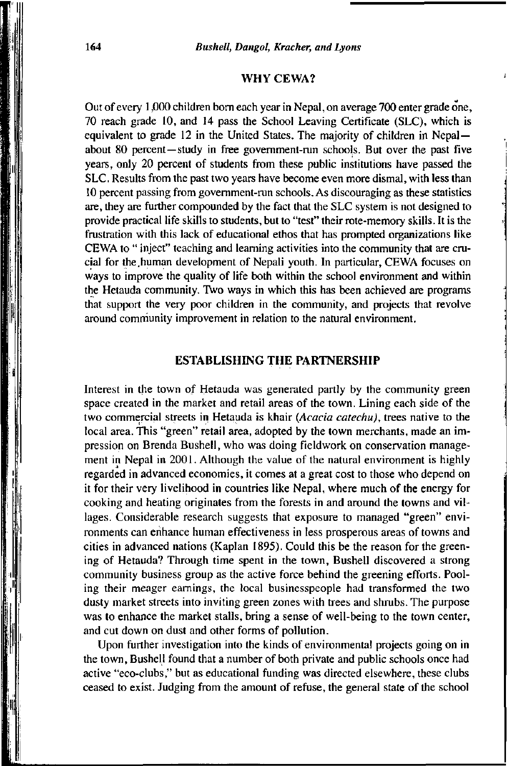# **WHY CEWA?**

Out of every 1,000 children born each year in Nepal, on average 700 enter grade one, 70 reach grade 10, and 14 pass the School Leaving Certificate (SLC), which is equivalent to grade 12 in the United States. The majority of children in Nepal about 80 percent—study in free government-run schools. But over the past five years, only 20 percent of students from these public institutions have passed the SLC. Results from the past two years have become even more dismal, with less than 10 percent passing from government-run schools. As discouraging as these statistics are, they are further compounded by the fact that the SLC system is not designed to provide practical life skills to students, but to "test" their rote-memory skills. It is the frustration with this lack of educational ethos that has prompted organizations like CEWA to " inject" teaching and learning activities into the community that are crucial for the,human development of Nepali youth. In particular, CEWA focuses on ways to improve the quality of life both within the school environment and within the Hetauda community. Two ways in which this has been achieved are programs that support the very poor children in the community, and projects that revolve around community improvement in relation to the natural environment.

# **ESTABLISHING THE PARTNERSHIP**

Interest in the town of Hetauda was generated partly by the community green space created in the market and retail areas of the town. Lining each side of the two commercial streets in Hetauda is khair *{Acacia catechu),* trees native to the local area. This "green" retail area, adopted by the town merchants, made an impression on Brenda Bushell, who was doing fieldwork on conservation management in Nepal in 2001. Although the value of the natural environment is highly regarded in advanced economies, it comes at a great cost to those who depend on it for their very livelihood in countries like Nepal, where much of the energy for cooking and heating originates from the forests in and around the towns and villages. Considerable research suggests that exposure to managed "green" environments can enhance human effectiveness in less prosperous areas of towns and cities in advanced nations (Kaplan 1895). Could this be the reason for the greening of Hetauda? Through time spent in the town, Bushell discovered a strong community business group as the active force behind the greening efforts. Pooling their meager earnings, the local businesspeople had transformed the two dusty market streets into inviting green zones with trees and shrubs. The purpose was to enhance the market stalls, bring a sense of well-being to the town center, and cut down on dust and other forms of pollution.

Upon further investigation into the kinds of environmental projects going on in the town, Bushell found that a number of both private and public schools once had active "eco-clubs," but as educational funding was directed elsewhere, these clubs ceased to exist. Judging from the amount of refuse, the general state of the school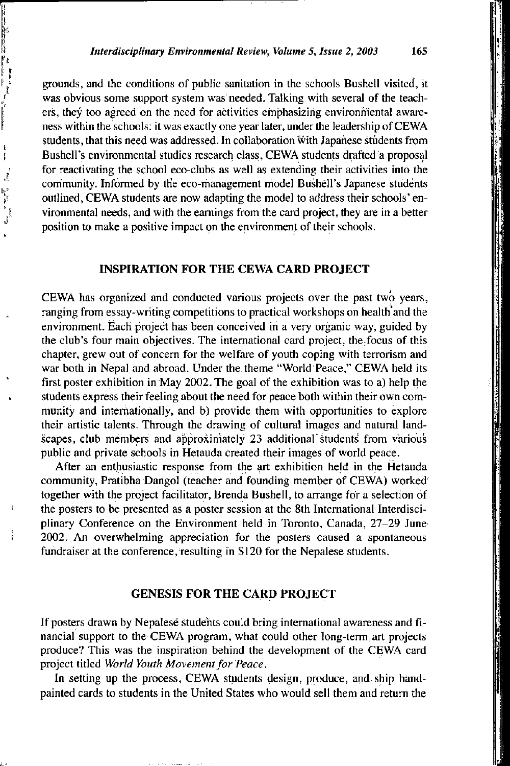k ׇ֧֧֧֦֧֦֧֦֧֦֧֦֧֦֧֦֧֦֧֦֧֦֧֦֧֦֕֟֓֕֓֕֓֕֓֕֓֕֓֕֓֝֬֝֬֓<br>֧֧֧֧֧֧֠֩֝֬֘

**Contract Contract** 

 $\mathbf{t}$  $\mathbf{k}$ 

**Maritime** 

p

grounds, and the conditions of public sanitation in the schools Bushell visited, it was obvious some support system was needed. Talking with several of the teachers, they too agreed on the need for activities emphasizing environmental awareness within the schools: it was exactly one year later, under the leadership of CEWA students, that this need was addressed. In collaboration with Japanese students from Bushell's environmental studies research class, CEWA students drafted a proposal for reactivating the school eco-clubs as well as extending their activities into the community. Informed by the eco-management model Bushell's Japanese students outlined, CEWA students are now adapting the model to address their schools' environmental needs, and with the earnings from the card project, they are in a better position to make a positive impact on the environment of their schools.

# **INSPIRATION FOR THE CEWA CARD PROJECT**

CEWA has organized and conducted various projects over the past two years, ranging from essay-writing competitions to practical workshops on health and the environment. Each project has been conceived in a very organic way, guided by the club's four main objectives. The international card project, the focus of this chapter, grew out of concern for the welfare of youth coping with terrorism and war both in Nepal and abroad. Under the theme "World Peace," CEWA held its first poster exhibition in May 2002. The goal of the exhibition was to a) help the students express their feeling about the need for peace both within their own community and internationally, and b) provide them with opportunities to explore their artistic talents. Through the drawing of cultural images and natural landscapes, club members and approximately 23 additional students from various public and private schools in Hetauda created their images of world peace.

After an enthusiastic response from the art exhibition held in the Hetauda community, Pratibha Dangol (teacher and founding member of CEWA) worked together with the project facilitator, Brenda Bushell, to arrange for a selection of the posters to be presented as a poster session at the 8th International Interdisciplinary Conference on the Environment held in Toronto, Canada, 27-29 June 2002. An overwhelming appreciation for the posters caused a spontaneous fundraiser at the conference, resulting in \$120 for the Nepalese students.

# **GENESIS FOR THE CARD** PROJECT

If posters drawn by Nepalese students could bring international awareness and financial support to the CEWA program, what could other long-term, art projects produce? This was the inspiration behind the development of the CEWA card project titled *World Youth Movement for Peace.* 

In setting up the process, CEWA students design, produce, and ship handpainted cards to students in the United States who would sell them and return the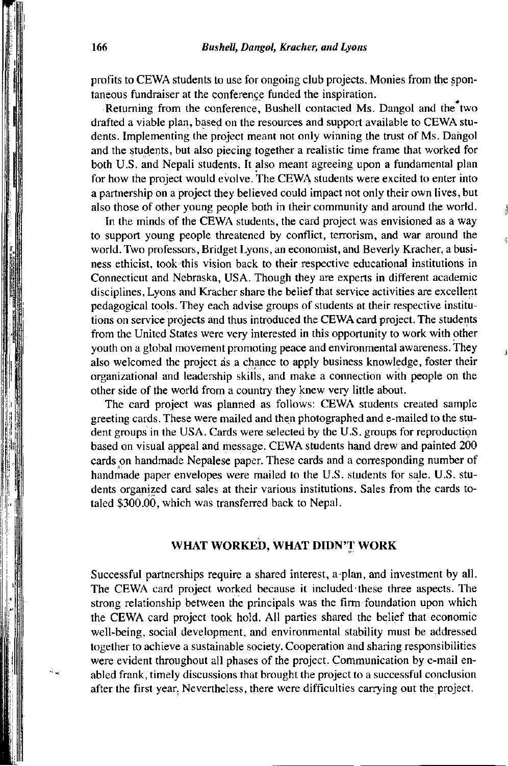profits to CEWA students to use for ongoing club projects. Monies from the spontaneous fundraiser at the conference funded the inspiration.

Returning from the conference, Bushell contacted Ms. Dangol and the two drafted a viable plan, based on the resources and support available to CEWA students. Implementing the project meant not only winning the trust of Ms. Dangol and the students, but also piecing together a realistic time frame that worked for both U.S. and Nepali students. It also meant agreeing upon a fundamental plan for how the project would evolve. The CEWA students were excited to enter into a partnership on a project they believed could impact not only their own lives, but also those of other young people both in their community and around the world.

In the minds of the CEWA students, the card project was envisioned as a way to support young people threatened by conflict, terrorism, and war around the world. Two professors, Bridget Lyons, an economist, and Beverly Kracher, a business ethicist, took this vision back to their respective educational institutions in Connecticut and Nebraska, USA. Though they are experts in different academic disciplines, Lyons and Kracher share the belief that service activities are excellent pedagogical tools. They each advise groups of students at their respective institutions on service projects and thus introduced the CEWA card project. The students from the United States were very interested in this opportunity to work with other youth on a global movement promoting peace and environmental awareness. They also welcomed the project as a chance to apply business knowledge, foster their organizational and leadership skills, and make a connection with people on the other side of the world from a country they knew very little about.

The card project was planned as follows: CEWA students created sample greeting cards. These were mailed and then photographed and e-mailed to the student groups in the USA. Cards were selected by the U.S. groups for reproduction based on visual appeal and message. CEWA students hand drew and painted 200 cards on handmade Nepalese paper. These cards and a corresponding number of handmade paper envelopes were mailed to the U.S. students for sale. U.S. students organized card sales at their various institutions. Sales from the cards totaled \$300.00, which was transferred back to Nepal.

# **WHAT WORKED, WHAT DIDN'T WORK**

Successful partnerships require a shared interest, a plan, and investment by all. The CEWA card project worked because it included these three aspects. The strong relationship between the principals was the firm foundation upon which the CEWA card project took hold. All parties shared the belief that economic well-being, social development, and environmental stability must be addressed together to achieve a sustainable society. Cooperation and sharing responsibilities were evident throughout all phases of the project. Communication by e-mail enabled frank, timely discussions that brought the project to a successful conclusion after the first year. Nevertheless, there were difficulties carrying out the project.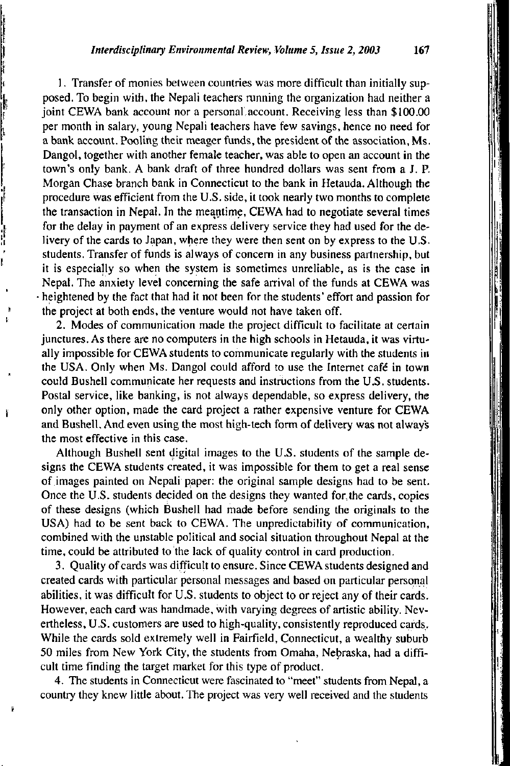1. Transfer of monies between countries was more difficult than initially supposed. To begin with, the Nepali teachers running the organization had neither a joint CEWA bank account nor a personal account. Receiving less than \$100.00 per month in salary, young Nepali teachers have few savings, hence no need for a bank account. Pooling their meager funds, the president of the association, Ms. Dangol, together with another female teacher, was able to open an account in the town's only bank. A bank draft of three hundred dollars was sent from a J. P. Morgan Chase branch bank in Connecticut to the bank in Hetauda. Although the procedure was efficient from the U.S. side, it took nearly two months to complete the transaction in Nepal. In the meantime, CEWA had to negotiate several times for the delay in payment of an express delivery service they had used for the delivery of the cards to Japan, where they were then sent on by express to the U.S. students. Transfer of funds is always of concern in any business partnership, but it is especially so when the system is sometimes unreliable, as is the case in Nepal. The anxiety level concerning the safe arrival of the funds at CEWA was • heightened by the fact that had it not been for the students' effort and passion for the project at both ends, the venture would not have taken off.

֧֧֧֧֦֧֧֧֧֧֧֧֧֧֕֝֟֓֕֝֬֝֬֝֬֓֕֓֝֬֝֬֝֓֝֬֝֬֝֬֝֬<br>֧֪֧֧֧֧֧֧֧֧֧֦֧֦֧֧֪֦֧֧֧֪֪֦֧֦֧֦֧֦֧֧֪֪֦֧֩֩֬֘֩֕֓֬֬֓֬֬֬֬֬֬

ľ

2. Modes of communication made the project difficult to facilitate at certain junctures. As there are no computers in the high schools in Hetauda, it was virtually impossible for CEWA students to communicate regularly with the students in the USA. Only when Ms. Dangol could afford to use the Internet café in town could Bushell communicate her requests and instructions from the U.S. students. Postal service, like banking, is not always dependable, so express delivery, the only other option, made the card project a rather expensive venture for CEWA and Bushell. And even using the most high-tech form of delivery was not always the most effective in this case.

Although Bushell sent digital images to the U.S. students of the sample designs the CEWA students created, it was impossible for them to get a real sense of images painted on Nepali paper: the original sample designs had to be sent. Once the U.S. students decided on the designs they wanted for, the cards, copies of these designs (which Bushell had made before sending the originals to the USA) had to be sent back to CEWA. The unpredictability of communication, combined with the unstable political and social situation throughout Nepal at the time, could be attributed to the lack of quality control in card production.

3. Quality of cards was difficult to ensure. Since CEWA students designed and created cards with particular personal messages and based on particular personal abilities, it was difficult for U.S. students to object to or reject any of their cards. However, each card was handmade, with varying degrees of artistic ability. Nevertheless, U.S. customers are used to high-quality, consistently reproduced cards. While the cards sold extremely well in Fairfield, Connecticut, a wealthy suburb 50 miles from New York City, the students from Omaha, Nebraska, had a difficult time finding the target market for this type of product.

4. The students in Connecticut were fascinated to "meet" students from Nepal, a country they knew little about. The project was very well received and the students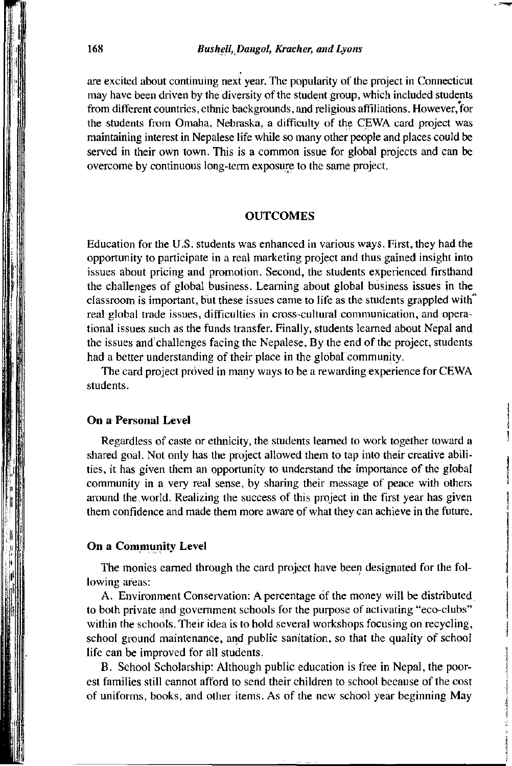are excited about continuing next year. The popularity of the project in Connecticut may have been driven by the diversity of the student group, which included students from different countries, ethnic backgrounds, and religious affiliations. However, for the students from Omaha, Nebraska, a difficulty of the CEWA card project was maintaining interest in Nepalese life while so many other people and places could be served in their own town. This is a common issue for global projects and can be overcome by continuous long-term exposure to the same project.

### **OUTCOMES**

Education for the U.S. students was enhanced in various ways. First, they had the opportunity to participate in a real marketing project and thus gained insight into issues about pricing and promotion. Second, the students experienced firsthand the challenges of global business. Learning about global business issues in the classroom is important, but these issues came to life as the students grappled with real global trade issues, difficulties in cross-cultural communication, and operational issues such as the funds transfer. Finally, students learned about Nepal and the issues and challenges facing the Nepalese. By the end of the project, students had a better understanding of their place in the global community.

The card project proved in many ways to be a rewarding experience for CEWA students.

# **On a Personal Level**

Regardless of caste or ethnicity, the students learned to work together toward a shared goal. Not only has the project allowed them to tap into their creative abilities, it has given them an opportunity to understand the importance of the global community in a very real sense, by sharing their message of peace with others around the world. Realizing the success of this project in the first year has given them confidence and made them more aware of what they can achieve in the future.

#### **On a Community Level**

The monies earned through the card project have been designated for the following areas:

A. Environment Conservation: A percentage of the money will be distributed to both private and government schools for the purpose of activating "eco-clubs" within the schools. Their idea is to hold several workshops focusing on recycling, school ground maintenance, and public sanitation, so that the quality of school life can be improved for all students.

B. School Scholarship: Although public education is free in Nepal, the poorest families still cannot afford to send their children to school because of the cost of uniforms, books, and other items. As of the new school year beginning May